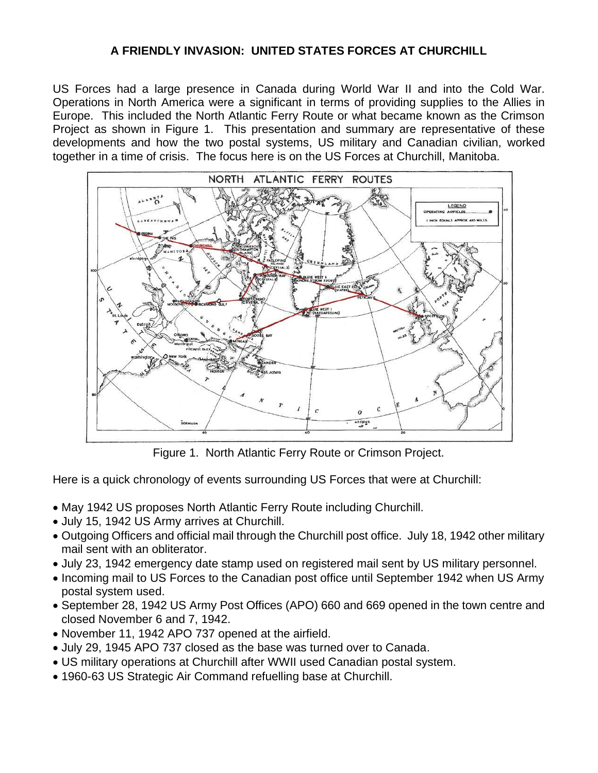# **A FRIENDLY INVASION: UNITED STATES FORCES AT CHURCHILL**

US Forces had a large presence in Canada during World War II and into the Cold War. Operations in North America were a significant in terms of providing supplies to the Allies in Europe. This included the North Atlantic Ferry Route or what became known as the Crimson Project as shown in Figure 1. This presentation and summary are representative of these developments and how the two postal systems, US military and Canadian civilian, worked together in a time of crisis. The focus here is on the US Forces at Churchill, Manitoba.



Figure 1. North Atlantic Ferry Route or Crimson Project.

Here is a quick chronology of events surrounding US Forces that were at Churchill:

- May 1942 US proposes North Atlantic Ferry Route including Churchill.
- July 15, 1942 US Army arrives at Churchill.
- Outgoing Officers and official mail through the Churchill post office. July 18, 1942 other military mail sent with an obliterator.
- July 23, 1942 emergency date stamp used on registered mail sent by US military personnel.
- Incoming mail to US Forces to the Canadian post office until September 1942 when US Army postal system used.
- September 28, 1942 US Army Post Offices (APO) 660 and 669 opened in the town centre and closed November 6 and 7, 1942.
- November 11, 1942 APO 737 opened at the airfield.
- July 29, 1945 APO 737 closed as the base was turned over to Canada.
- US military operations at Churchill after WWII used Canadian postal system.
- 1960-63 US Strategic Air Command refuelling base at Churchill.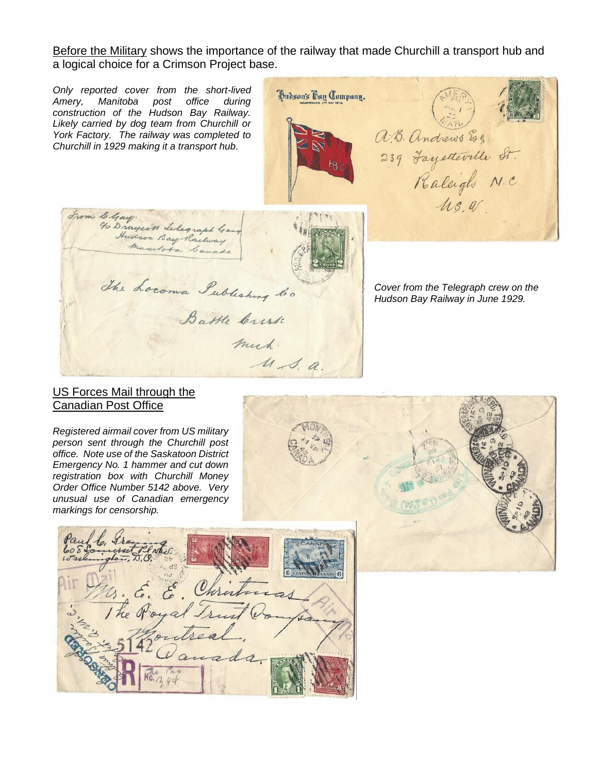Before the Military shows the importance of the railway that made Churchill a transport hub and a logical choice for a Crimson Project base.

*Only reported cover from the short-lived*  Hudson's Bay Company. *Amery, Manitoba post office during construction of the Hudson Bay Railway. Likely carried by dog team from Churchill or*  a.B. Andrews Esq. *York Factory. The railway was completed to Churchill in 1929 making it a transport hub.* 239 Fayetteville St. From Chay.<br>Yo Draycott Lilegraph Gan<br>Manufota Canado manutoba Canada The Locoma Publishing to *Cover from the Telegraph crew on the Hudson Bay Railway in June 1929.* Battle Crerk much.  $u$  s. a.

### US Forces Mail through the Canadian Post Office

*Registered airmail cover from US military person sent through the Churchill post office. Note use of the Saskatoon District Emergency No. 1 hammer and cut down registration box with Churchill Money Order Office Number 5142 above. Very unusual use of Canadian emergency markings for censorship.* 





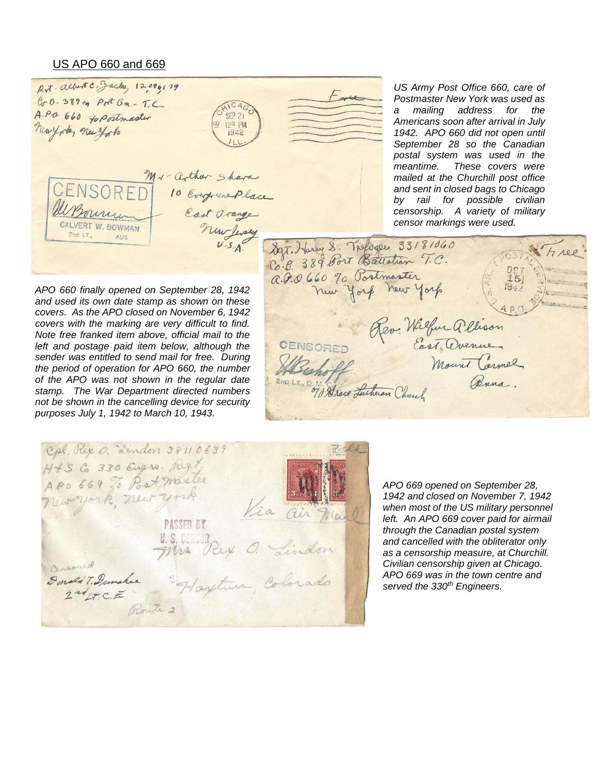#### US APO 660 and 669

Rot albert C. Jacks, 12096179 Easte G-B-389+4 Port Bn - T.C A.P.O. 660 40 Postmaster **SEP 21** 12<sup>30</sup> PM Newyorks new york  $1942$ Mr- arthur Shara CENSORFI 10 Everywere Place East Orange CALVERT W. BOWMAN nurfery  $2ndIT$ Alic

*US Army Post Office 660, care of Postmaster New York was used as a mailing address for the Americans soon after arrival in July 1942. APO 660 did not open until September 28 so the Canadian postal system was used in the meantime. These covers were mailed at the Churchill post office and sent in closed bags to Chicago by rail for possible civilian censorship. A variety of military censor markings were used.* 

897. Harry 8. Tologer 33181060  $H100$ a. P.O. 660 70 Postmaster<br>New York New York Rev. Wilfur allison CENSORED 2ND, LT., Q. 13 Mace Lutheran Church Buna

*APO 660 finally opened on September 28, 1942 and used its own date stamp as shown on these covers. As the APO closed on November 6, 1942 covers with the marking are very difficult to find. Note free franked item above, official mail to the left and postage paid item below, although the sender was entitled to send mail for free. During the period of operation for APO 660, the number of the APO was not shown in the regular date stamp. The War Department directed numbers not be shown in the cancelling device for security purposes July 1, 1942 to March 10, 1943.*

Col. Rex O. Lindon 38110639 H + 5 Co 330 Eugro. Reg! APO 669 To Post moster New york, new york Via air n **PASSED BY** U.S. Rey O. Lindon Donald T. Dunahie Haytun, Colorado

*APO 669 opened on September 28, 1942 and closed on November 7, 1942 when most of the US military personnel left. An APO 669 cover paid for airmail through the Canadian postal system and cancelled with the obliterator only as a censorship measure, at Churchill. Civilian censorship given at Chicago. APO 669 was in the town centre and served the 330th Engineers.*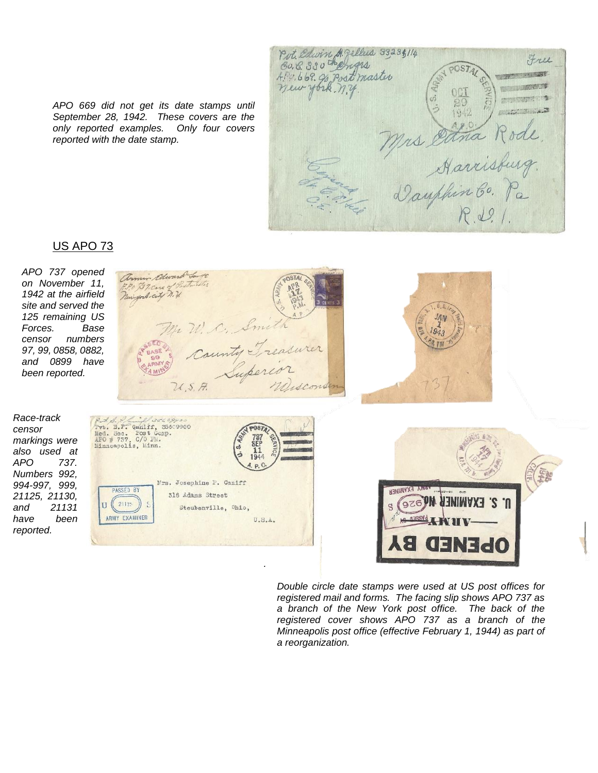*APO 669 did not get its date stamps until September 28, 1942. These covers are the only reported examples. Only four covers reported with the date stamp.*

Put. Edwin St. gellers 33,235,114 EU. 8. 330 thengrs Free  $POSTA$ 4Pg. 669. 96 Post master **HARD BY Billet Bill** 1942 Mrs Ettra Rode

## US APO 73

*APO 737 opened on November 11, 1942 at the airfield site and served the 125 remaining US Forces. Base censor numbers 97, 99, 0858, 0882, and 0899 have been reported.*

armir adward Lange F.P.O. B. Record Postmitter W. C. Smith County Treasurer

*Race-track censor markings were also used at APO 737. Numbers 992, 994-997, 999, 21125, 21130, and 21131 have been reported.*



*.*





*Double circle date stamps were used at US post offices for registered mail and forms. The facing slip shows APO 737 as a branch of the New York post office. The back of the registered cover shows APO 737 as a branch of the Minneapolis post office (effective February 1, 1944) as part of a reorganization.*